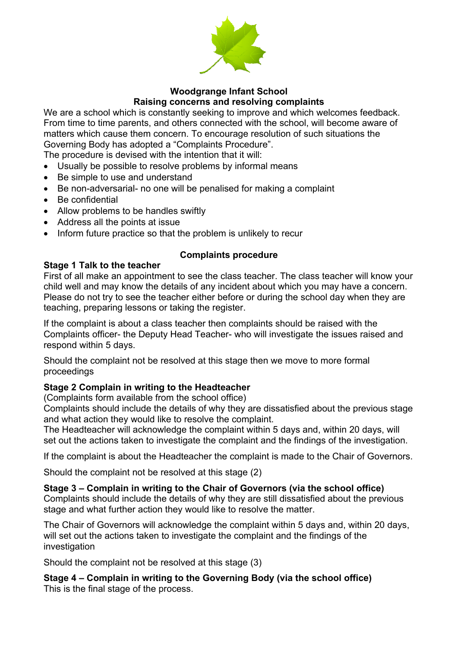

#### **Woodgrange Infant School Raising concerns and resolving complaints**

We are a school which is constantly seeking to improve and which welcomes feedback. From time to time parents, and others connected with the school, will become aware of matters which cause them concern. To encourage resolution of such situations the Governing Body has adopted a "Complaints Procedure".

The procedure is devised with the intention that it will:

- Usually be possible to resolve problems by informal means
- Be simple to use and understand
- Be non-adversarial- no one will be penalised for making a complaint
- Be confidential
- Allow problems to be handles swiftly
- Address all the points at issue
- Inform future practice so that the problem is unlikely to recur

## **Complaints procedure**

## **Stage 1 Talk to the teacher**

First of all make an appointment to see the class teacher. The class teacher will know your child well and may know the details of any incident about which you may have a concern. Please do not try to see the teacher either before or during the school day when they are teaching, preparing lessons or taking the register.

If the complaint is about a class teacher then complaints should be raised with the Complaints officer- the Deputy Head Teacher- who will investigate the issues raised and respond within 5 days.

Should the complaint not be resolved at this stage then we move to more formal proceedings

# **Stage 2 Complain in writing to the Headteacher**

(Complaints form available from the school office)

Complaints should include the details of why they are dissatisfied about the previous stage and what action they would like to resolve the complaint.

The Headteacher will acknowledge the complaint within 5 days and, within 20 days, will set out the actions taken to investigate the complaint and the findings of the investigation.

If the complaint is about the Headteacher the complaint is made to the Chair of Governors.

Should the complaint not be resolved at this stage (2)

#### **Stage 3 – Complain in writing to the Chair of Governors (via the school office)**

Complaints should include the details of why they are still dissatisfied about the previous stage and what further action they would like to resolve the matter.

The Chair of Governors will acknowledge the complaint within 5 days and, within 20 days, will set out the actions taken to investigate the complaint and the findings of the investigation

Should the complaint not be resolved at this stage (3)

**Stage 4 – Complain in writing to the Governing Body (via the school office)** This is the final stage of the process.